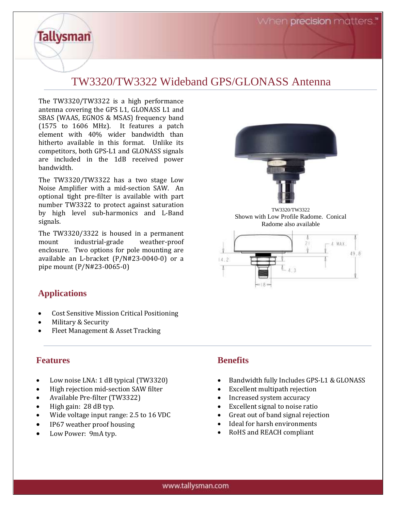## TW3320/TW3322 Wideband GPS/GLONASS Antenna

The TW3320/TW3322 is a high performance antenna covering the GPS L1, GLONASS L1 and SBAS (WAAS, EGNOS & MSAS) frequency band (1575 to 1606 MHz). It features a patch element with 40% wider bandwidth than hitherto available in this format. Unlike its competitors, both GPS-L1 and GLONASS signals are included in the 1dB received power bandwidth.

The TW3320/TW3322 has a two stage Low Noise Amplifier with a mid-section SAW. An optional tight pre-filter is available with part number TW3322 to protect against saturation by high level sub-harmonics and L-Band signals.

The TW3320/3322 is housed in a permanent mount industrial-grade weather-proof enclosure. Two options for pole mounting are available an L-bracket (P/N#23-0040-0) or a pipe mount (P/N#23-0065-0)

## **Applications**

**Tallysman** 

- Cost Sensitive Mission Critical Positioning
- Military & Security
- Fleet Management & Asset Tracking

## **Features**

- Low noise LNA: 1 dB typical (TW3320)
- High rejection mid-section SAW filter
- Available Pre-filter (TW3322)
- High gain: 28 dB typ.
- Wide voltage input range: 2.5 to 16 VDC
- IP67 weather proof housing
- Low Power: 9mA typ.

## **Benefits**

 $(4.2)$ 

• Bandwidth fully Includes GPS-L1 & GLONASS

TW3320/TW3322 Shown with Low Profile Radome. Conical Radome also available

21

 $1.988$ 

49.8

- Excellent multipath rejection
- Increased system accuracy
- Excellent signal to noise ratio
- Great out of band signal rejection
- Ideal for harsh environments
- RoHS and REACH compliant

www.tallysman.com